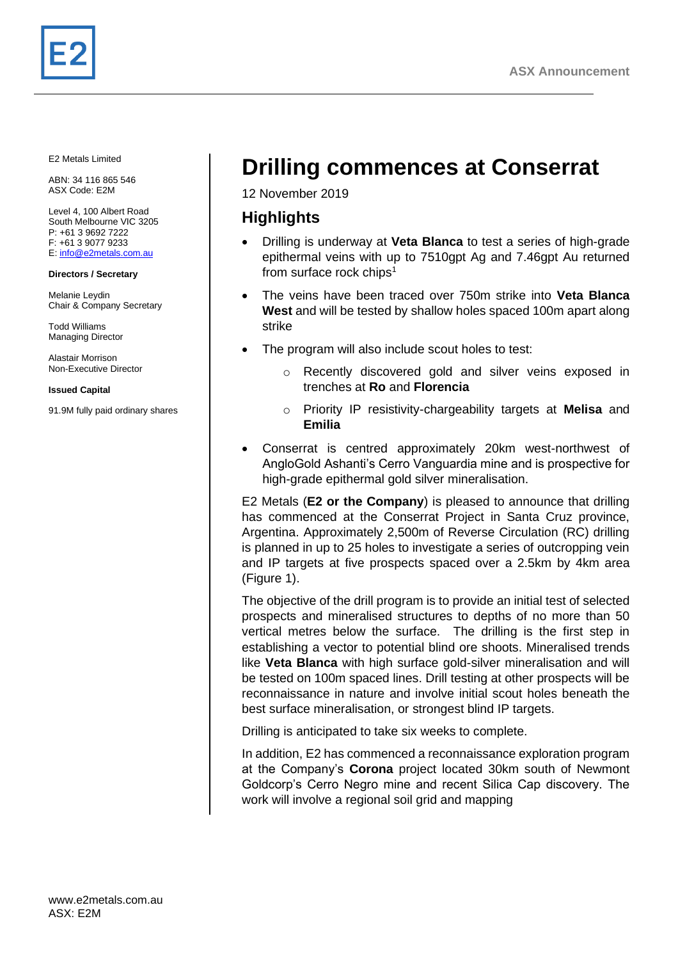E2 Metals Limited

ABN: 34 116 865 546 ASX Code: E2M

Level 4, 100 Albert Road South Melbourne VIC 3205 P: +61 3 9692 7222 F: +61 3 9077 9233 E[: info@e2metals.com.au](mailto:info@e2metals.com.au)

#### **Directors / Secretary**

Melanie Leydin Chair & Company Secretary

Todd Williams Managing Director

Alastair Morrison Non-Executive Director

**Issued Capital**

91.9M fully paid ordinary shares

# **Drilling commences at Conserrat**

12 November 2019

# **Highlights**

- Drilling is underway at **Veta Blanca** to test a series of high-grade epithermal veins with up to 7510gpt Ag and 7.46gpt Au returned from surface rock chips $<sup>1</sup>$ </sup>
- The veins have been traced over 750m strike into **Veta Blanca West** and will be tested by shallow holes spaced 100m apart along strike
- The program will also include scout holes to test:
	- Recently discovered gold and silver veins exposed in trenches at **Ro** and **Florencia**
	- o Priority IP resistivity-chargeability targets at **Melisa** and **Emilia**
- Conserrat is centred approximately 20km west-northwest of AngloGold Ashanti's Cerro Vanguardia mine and is prospective for high-grade epithermal gold silver mineralisation.

E2 Metals (**E2 or the Company**) is pleased to announce that drilling has commenced at the Conserrat Project in Santa Cruz province, Argentina. Approximately 2,500m of Reverse Circulation (RC) drilling is planned in up to 25 holes to investigate a series of outcropping vein and IP targets at five prospects spaced over a 2.5km by 4km area (Figure 1).

The objective of the drill program is to provide an initial test of selected prospects and mineralised structures to depths of no more than 50 vertical metres below the surface. The drilling is the first step in establishing a vector to potential blind ore shoots. Mineralised trends like **Veta Blanca** with high surface gold-silver mineralisation and will be tested on 100m spaced lines. Drill testing at other prospects will be reconnaissance in nature and involve initial scout holes beneath the best surface mineralisation, or strongest blind IP targets.

Drilling is anticipated to take six weeks to complete.

In addition, E2 has commenced a reconnaissance exploration program at the Company's **Corona** project located 30km south of Newmont Goldcorp's Cerro Negro mine and recent Silica Cap discovery. The work will involve a regional soil grid and mapping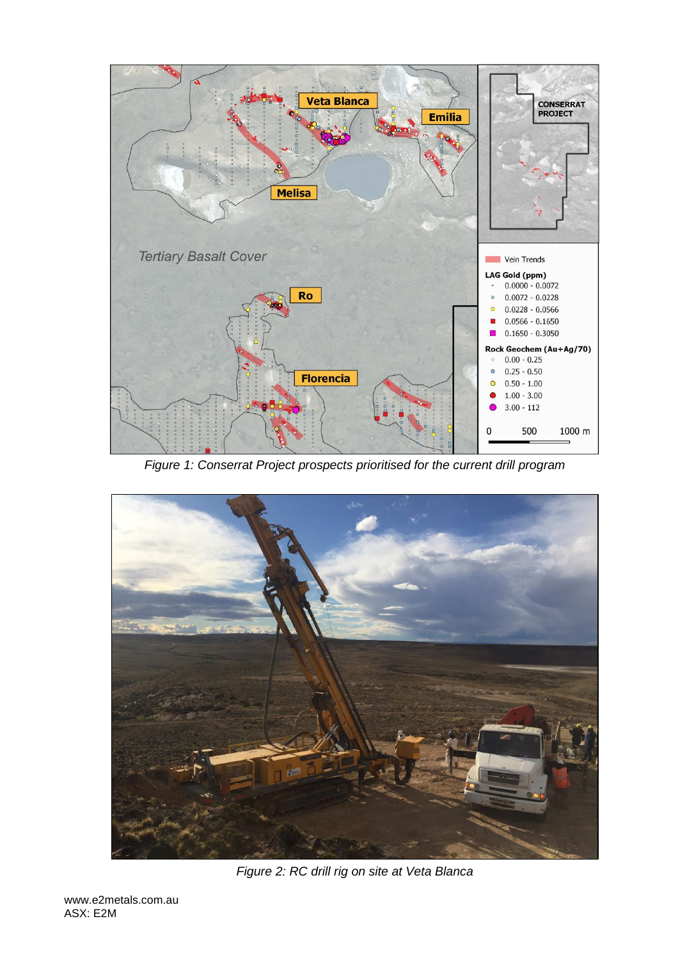

*Figure 1: Conserrat Project prospects prioritised for the current drill program* 



*Figure 2: RC drill rig on site at Veta Blanca*